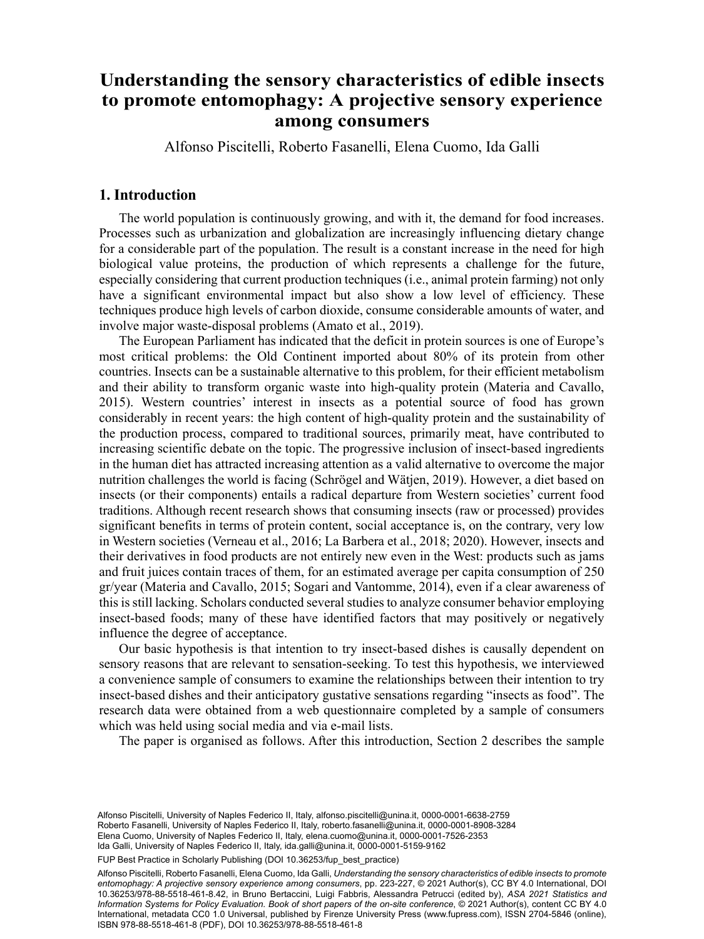# Alfonso Piscitellia , Roberto Fasanellib , Elena Cuomoc and Ida Gallib Understanding the sensory characteristics of edible insects to promote entomophagy: A projective sensory experience<br> **A projective sensory experience among consumers**

Alfonso Piscitelli, Roberto Fasanelli, Elena Cuomo, Ida Galli

# **1. Introduction**

The world population is continuously growing, and with it, the demand for food increases. Processes such as urbanization and globalization are increasingly influencing dietary change for a considerable part of the population. The result is a constant increase in the need for high biological value proteins, the production of which represents a challenge for the future, especially considering that current production techniques (i.e., animal protein farming) not only have a significant environmental impact but also show a low level of efficiency. These techniques produce high levels of carbon dioxide, consume considerable amounts of water, and involve major waste-disposal problems (Amato et al., 2019).

The European Parliament has indicated that the deficit in protein sources is one of Europe's most critical problems: the Old Continent imported about 80% of its protein from other countries. Insects can be a sustainable alternative to this problem, for their efficient metabolism and their ability to transform organic waste into high-quality protein (Materia and Cavallo, 2015). Western countries' interest in insects as a potential source of food has grown considerably in recent years: the high content of high-quality protein and the sustainability of the production process, compared to traditional sources, primarily meat, have contributed to increasing scientific debate on the topic. The progressive inclusion of insect-based ingredients in the human diet has attracted increasing attention as a valid alternative to overcome the major nutrition challenges the world is facing (Schrögel and Wätjen, 2019). However, a diet based on insects (or their components) entails a radical departure from Western societies' current food traditions. Although recent research shows that consuming insects (raw or processed) provides significant benefits in terms of protein content, social acceptance is, on the contrary, very low in Western societies (Verneau et al., 2016; La Barbera et al., 2018; 2020). However, insects and their derivatives in food products are not entirely new even in the West: products such as jams and fruit juices contain traces of them, for an estimated average per capita consumption of 250 gr/year (Materia and Cavallo, 2015; Sogari and Vantomme, 2014), even if a clear awareness of this is still lacking. Scholars conducted several studies to analyze consumer behavior employing insect-based foods; many of these have identified factors that may positively or negatively influence the degree of acceptance.

Our basic hypothesis is that intention to try insect-based dishes is causally dependent on sensory reasons that are relevant to sensation-seeking. To test this hypothesis, we interviewed a convenience sample of consumers to examine the relationships between their intention to try insect-based dishes and their anticipatory gustative sensations regarding "insects as food". The research data were obtained from a web questionnaire completed by a sample of consumers which was held using social media and via e-mail lists.

The paper is organised as follows. After this introduction, Section 2 describes the sample

Alfonso Piscitelli, University of Naples Federico II, Italy, [alfonso.piscitelli@unina.it](mailto:alfonso.piscitelli@unina.it), [0000-0001-6638-2759](https://orcid.org/0000-0001-6638-2759) Roberto Fasanelli, University of Naples Federico II, Italy, [roberto.fasanelli@unina.it](mailto:roberto.fasanelli@unina.it), [0000-0001-8908-3284](https://orcid.org/0000-0001-8908-3284) Elena Cuomo, University of Naples Federico II, Italy, [elena.cuomo@unina.it,](mailto:elena.cuomo@unina.it) [0000-0001-7526-2353](https://orcid.org/0000-0001-7526-2353) Ida Galli, University of Naples Federico II, Italy, [ida.galli@unina.it,](mailto:ida.galli@unina.it) [0000-0001-5159-9162](https://orcid.org/0000-0001-5159-9162)

FUP Best Practice in Scholarly Publishing (DOI 10.36253/fup best practice)

Alfonso Piscitelli, Roberto Fasanelli, Elena Cuomo, Ida Galli, *Understanding the sensory characteristics of edible insects to promote entomophagy: A projective sensory experience among consumers*, pp. 223-227, © 2021 Author(s), [CC BY 4.0 International,](http://creativecommons.org/licenses/by/4.0/legalcode) DOI [10.36253/978-88-5518-461-8.42](https://doi.org/10.36253/978-88-5518-461-8.42), in Bruno Bertaccini, Luigi Fabbris, Alessandra Petrucci (edited by), *ASA 2021 Statistics and Information Systems for Policy Evaluation. Book of short papers of the on-site conference*, © 2021 Author(s), content [CC BY 4.0](http://creativecommons.org/licenses/by/4.0/legalcode) [International](http://creativecommons.org/licenses/by/4.0/legalcode), metadata [CC0 1.0 Universal](https://creativecommons.org/publicdomain/zero/1.0/legalcode), published by Firenze University Press [\(www.fupress.com](http://www.fupress.com)), ISSN 2704-5846 (online), ISBN 978-88-5518-461-8 (PDF), DOI [10.36253/978-88-5518-461-8](https://doi.org/10.36253/978-88-5518-461-8)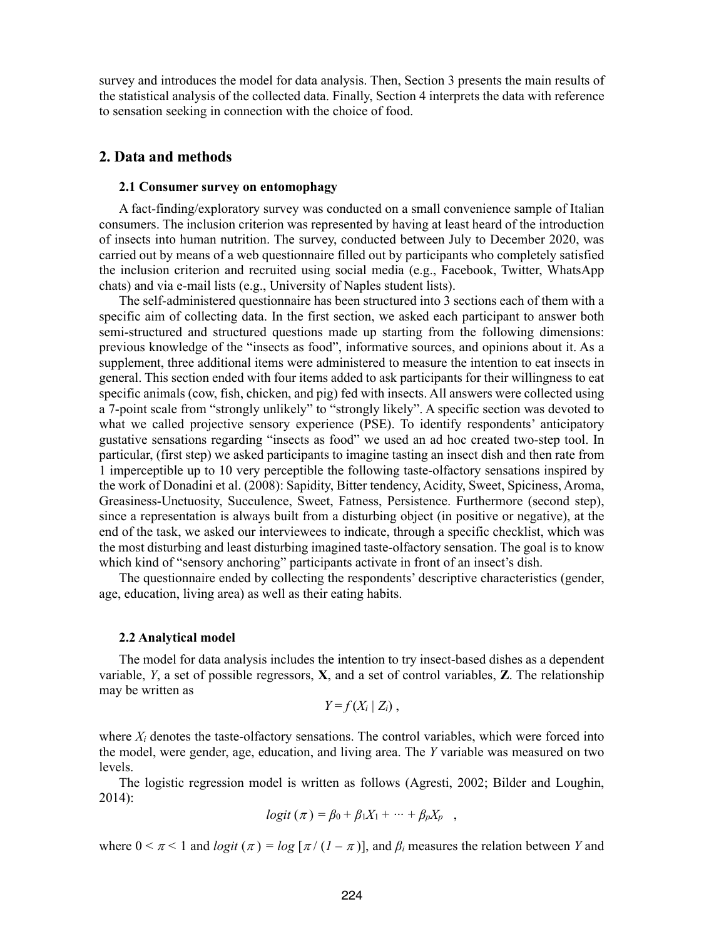survey and introduces the model for data analysis. Then, Section 3 presents the main results of the statistical analysis of the collected data. Finally, Section 4 interprets the data with reference to sensation seeking in connection with the choice of food.

# **2. Data and methods**

### **2.1 Consumer survey on entomophagy**

A fact-finding/exploratory survey was conducted on a small convenience sample of Italian consumers. The inclusion criterion was represented by having at least heard of the introduction of insects into human nutrition. The survey, conducted between July to December 2020, was carried out by means of a web questionnaire filled out by participants who completely satisfied the inclusion criterion and recruited using social media (e.g., Facebook, Twitter, WhatsApp chats) and via e-mail lists (e.g., University of Naples student lists).

The self-administered questionnaire has been structured into 3 sections each of them with a specific aim of collecting data. In the first section, we asked each participant to answer both semi-structured and structured questions made up starting from the following dimensions: previous knowledge of the "insects as food", informative sources, and opinions about it. As a supplement, three additional items were administered to measure the intention to eat insects in general. This section ended with four items added to ask participants for their willingness to eat specific animals (cow, fish, chicken, and pig) fed with insects. All answers were collected using a 7-point scale from "strongly unlikely" to "strongly likely". A specific section was devoted to what we called projective sensory experience (PSE). To identify respondents' anticipatory gustative sensations regarding "insects as food" we used an ad hoc created two-step tool. In particular, (first step) we asked participants to imagine tasting an insect dish and then rate from 1 imperceptible up to 10 very perceptible the following taste-olfactory sensations inspired by the work of Donadini et al. (2008): Sapidity, Bitter tendency, Acidity, Sweet, Spiciness, Aroma, Greasiness-Unctuosity, Succulence, Sweet, Fatness, Persistence. Furthermore (second step), since a representation is always built from a disturbing object (in positive or negative), at the end of the task, we asked our interviewees to indicate, through a specific checklist, which was the most disturbing and least disturbing imagined taste-olfactory sensation. The goal is to know which kind of "sensory anchoring" participants activate in front of an insect's dish.

The questionnaire ended by collecting the respondents' descriptive characteristics (gender, age, education, living area) as well as their eating habits.

#### **2.2 Analytical model**

The model for data analysis includes the intention to try insect-based dishes as a dependent variable, *Y*, a set of possible regressors, **X**, and a set of control variables, **Z**. The relationship may be written as

$$
Y = f(X_i \mid Z_i),
$$

where  $X_i$  denotes the taste-olfactory sensations. The control variables, which were forced into the model, were gender, age, education, and living area. The *Y* variable was measured on two levels.

The logistic regression model is written as follows (Agresti, 2002; Bilder and Loughin, 2014):

$$
logit (\pi) = \beta_0 + \beta_1 X_1 + \cdots + \beta_p X_p ,
$$

where  $0 \le \pi \le 1$  and *logit*  $(\pi) = log \left[ \frac{\pi}{(1 - \pi)} \right]$ , and  $\beta_i$  measures the relation between *Y* and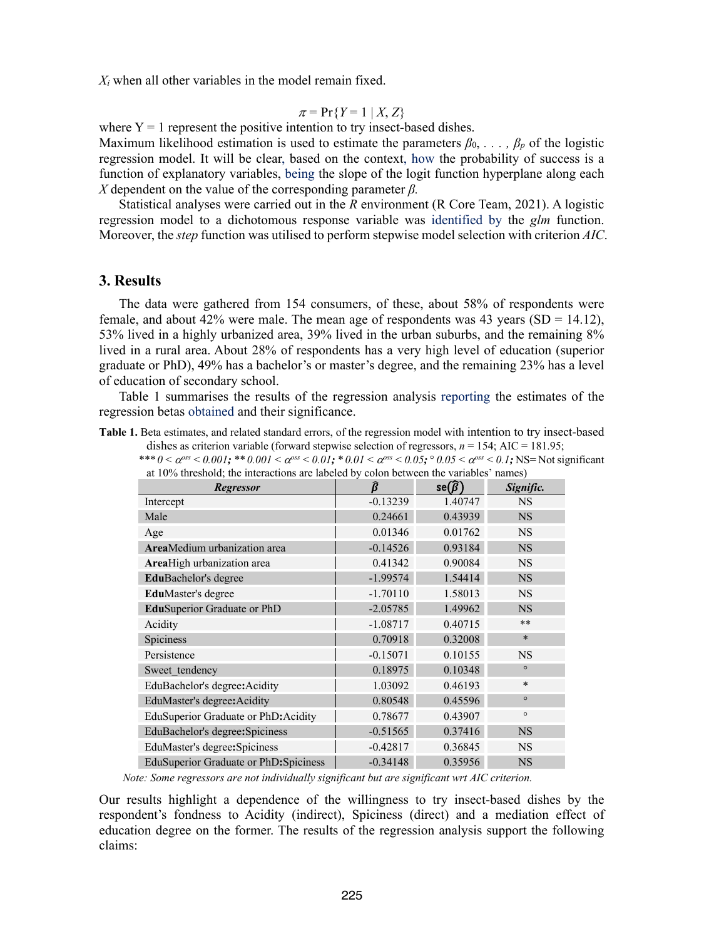*Xi* when all other variables in the model remain fixed.

$$
\pi = \Pr\{Y = 1 \mid X, Z\}
$$

where  $Y = 1$  represent the positive intention to try insect-based dishes.

Maximum likelihood estimation is used to estimate the parameters  $\beta_0, \ldots, \beta_n$  of the logistic regression model. It will be clear, based on the context, how the probability of success is a function of explanatory variables, being the slope of the logit function hyperplane along each *X* dependent on the value of the corresponding parameter *β.*

Statistical analyses were carried out in the *R* environment (R Core Team, 2021). A logistic regression model to a dichotomous response variable was identified by the *glm* function. Moreover, the *step* function was utilised to perform stepwise model selection with criterion *AIC*.

## **3. Results**

The data were gathered from 154 consumers, of these, about 58% of respondents were female, and about 42% were male. The mean age of respondents was 43 years ( $SD = 14.12$ ), 53% lived in a highly urbanized area, 39% lived in the urban suburbs, and the remaining 8% lived in a rural area. About 28% of respondents has a very high level of education (superior graduate or PhD), 49% has a bachelor's or master's degree, and the remaining 23% has a level of education of secondary school.

Table 1 summarises the results of the regression analysis reporting the estimates of the regression betas obtained and their significance.

**Table 1.** Beta estimates, and related standard errors, of the regression model with intention to try insect-based dishes as criterion variable (forward stepwise selection of regressors,  $n = 154$ ; AIC = 181.95;

\*\*\* 0 <  $\alpha^{oss}$  < 0.001; \*\* 0.001 <  $\alpha^{oss}$  < 0.01; \* 0.01 <  $\alpha^{oss}$  < 0.05;  $\circ$  0.05 <  $\alpha^{oss}$  < 0.1; NS= Not significant at 10% threshold; the interactions are labeled by colon between the variables' names)

| at TV70 uneshold, the interactions are fabeled by colon between the variables -halles) |            |                       |           |
|----------------------------------------------------------------------------------------|------------|-----------------------|-----------|
| <b>Regressor</b>                                                                       |            | $se(\widehat{\beta})$ | Signific. |
| Intercept                                                                              | $-0.13239$ | 1.40747               | <b>NS</b> |
| Male                                                                                   | 0.24661    | 0.43939               | <b>NS</b> |
| Age                                                                                    | 0.01346    | 0.01762               | <b>NS</b> |
| <b>Area</b> Medium urbanization area                                                   | $-0.14526$ | 0.93184               | <b>NS</b> |
| AreaHigh urbanization area                                                             | 0.41342    | 0.90084               | <b>NS</b> |
| <b>EduBachelor's degree</b>                                                            | $-1.99574$ | 1.54414               | <b>NS</b> |
| <b>EduMaster's degree</b>                                                              | $-1.70110$ | 1.58013               | <b>NS</b> |
| EduSuperior Graduate or PhD                                                            | $-2.05785$ | 1.49962               | <b>NS</b> |
| Acidity                                                                                | $-1.08717$ | 0.40715               | $***$     |
| <b>Spiciness</b>                                                                       | 0.70918    | 0.32008               | $\ast$    |
| Persistence                                                                            | $-0.15071$ | 0.10155               | <b>NS</b> |
| Sweet tendency                                                                         | 0.18975    | 0.10348               | $\circ$   |
| EduBachelor's degree: Acidity                                                          | 1.03092    | 0.46193               | $\ast$    |
| EduMaster's degree: Acidity                                                            | 0.80548    | 0.45596               | $\circ$   |
| EduSuperior Graduate or PhD: Acidity                                                   | 0.78677    | 0.43907               | $\circ$   |
| EduBachelor's degree: Spiciness                                                        | $-0.51565$ | 0.37416               | <b>NS</b> |
| EduMaster's degree: Spiciness                                                          | $-0.42817$ | 0.36845               | <b>NS</b> |
| EduSuperior Graduate or PhD: Spiciness                                                 | $-0.34148$ | 0.35956               | <b>NS</b> |

*Note: Some regressors are not individually significant but are significant wrt AIC criterion.*

Our results highlight a dependence of the willingness to try insect-based dishes by the respondent's fondness to Acidity (indirect), Spiciness (direct) and a mediation effect of education degree on the former. The results of the regression analysis support the following claims: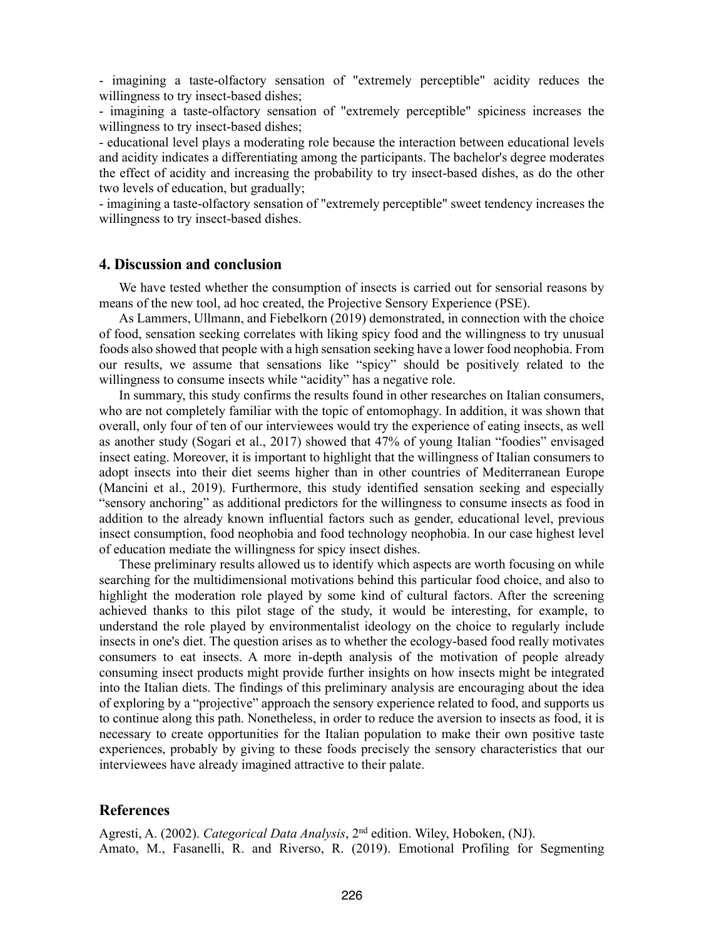- imagining a taste-olfactory sensation of "extremely perceptible" acidity reduces the willingness to try insect-based dishes;

- imagining a taste-olfactory sensation of "extremely perceptible" spiciness increases the willingness to try insect-based dishes;

- educational level plays a moderating role because the interaction between educational levels and acidity indicates a differentiating among the participants. The bachelor's degree moderates the effect of acidity and increasing the probability to try insect-based dishes, as do the other two levels of education, but gradually;

- imagining a taste-olfactory sensation of "extremely perceptible" sweet tendency increases the willingness to try insect-based dishes.

# **4. Discussion and conclusion**

We have tested whether the consumption of insects is carried out for sensorial reasons by means of the new tool, ad hoc created, the Projective Sensory Experience (PSE).

As Lammers, Ullmann, and Fiebelkorn (2019) demonstrated, in connection with the choice of food, sensation seeking correlates with liking spicy food and the willingness to try unusual foods also showed that people with a high sensation seeking have a lower food neophobia. From our results, we assume that sensations like "spicy" should be positively related to the willingness to consume insects while "acidity" has a negative role.

In summary, this study confirms the results found in other researches on Italian consumers, who are not completely familiar with the topic of entomophagy. In addition, it was shown that overall, only four of ten of our interviewees would try the experience of eating insects, as well as another study (Sogari et al., 2017) showed that 47% of young Italian "foodies" envisaged insect eating. Moreover, it is important to highlight that the willingness of Italian consumers to adopt insects into their diet seems higher than in other countries of Mediterranean Europe (Mancini et al., 2019). Furthermore, this study identified sensation seeking and especially "sensory anchoring" as additional predictors for the willingness to consume insects as food in addition to the already known influential factors such as gender, educational level, previous insect consumption, food neophobia and food technology neophobia. In our case highest level of education mediate the willingness for spicy insect dishes.

These preliminary results allowed us to identify which aspects are worth focusing on while searching for the multidimensional motivations behind this particular food choice, and also to highlight the moderation role played by some kind of cultural factors. After the screening achieved thanks to this pilot stage of the study, it would be interesting, for example, to understand the role played by environmentalist ideology on the choice to regularly include insects in one's diet. The question arises as to whether the ecology-based food really motivates consumers to eat insects. A more in-depth analysis of the motivation of people already consuming insect products might provide further insights on how insects might be integrated into the Italian diets. The findings of this preliminary analysis are encouraging about the idea of exploring by a "projective" approach the sensory experience related to food, and supports us to continue along this path. Nonetheless, in order to reduce the aversion to insects as food, it is necessary to create opportunities for the Italian population to make their own positive taste experiences, probably by giving to these foods precisely the sensory characteristics that our interviewees have already imagined attractive to their palate.

## **References**

Agresti, A. (2002). *Categorical Data Analysis*, 2nd edition. Wiley, Hoboken, (NJ). Amato, M., Fasanelli, R. and Riverso, R. (2019). Emotional Profiling for Segmenting